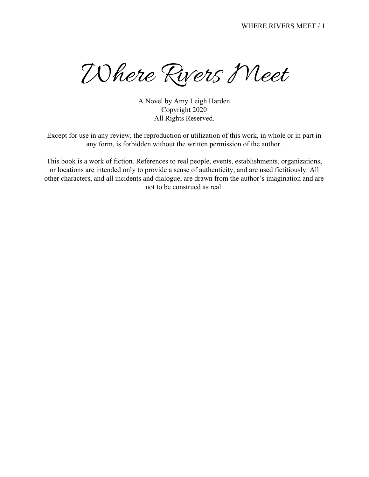Where Rivers Meet

A Novel by Amy Leigh Harden Copyright 2020 All Rights Reserved.

Except for use in any review, the reproduction or utilization of this work, in whole or in part in any form, is forbidden without the written permission of the author.

This book is a work of fiction. References to real people, events, establishments, organizations, or locations are intended only to provide a sense of authenticity, and are used fictitiously. All other characters, and all incidents and dialogue, are drawn from the author's imagination and are not to be construed as real.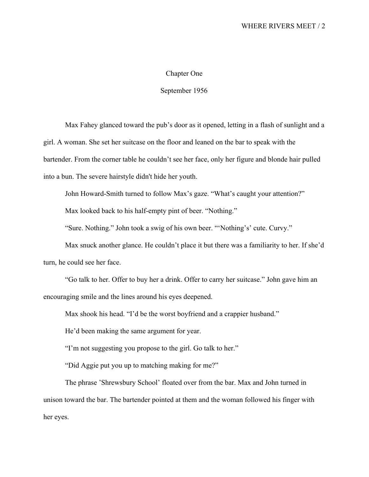## Chapter One

## September 1956

Max Fahey glanced toward the pub's door as it opened, letting in a flash of sunlight and a girl. A woman. She set her suitcase on the floor and leaned on the bar to speak with the bartender. From the corner table he couldn't see her face, only her figure and blonde hair pulled into a bun. The severe hairstyle didn't hide her youth.

John Howard-Smith turned to follow Max's gaze. "What's caught your attention?"

Max looked back to his half-empty pint of beer. "Nothing."

"Sure. Nothing." John took a swig of his own beer. "'Nothing's' cute. Curvy."

Max snuck another glance. He couldn't place it but there was a familiarity to her. If she'd turn, he could see her face.

"Go talk to her. Offer to buy her a drink. Offer to carry her suitcase." John gave him an encouraging smile and the lines around his eyes deepened.

Max shook his head. "I'd be the worst boyfriend and a crappier husband."

He'd been making the same argument for year.

"I'm not suggesting you propose to the girl. Go talk to her."

"Did Aggie put you up to matching making for me?"

The phrase 'Shrewsbury School' floated over from the bar. Max and John turned in unison toward the bar. The bartender pointed at them and the woman followed his finger with her eyes.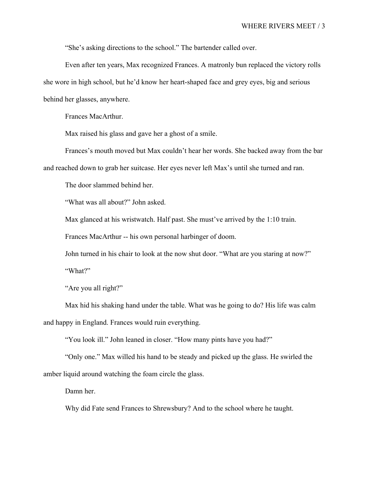"She's asking directions to the school." The bartender called over.

Even after ten years, Max recognized Frances. A matronly bun replaced the victory rolls she wore in high school, but he'd know her heart-shaped face and grey eyes, big and serious behind her glasses, anywhere.

Frances MacArthur.

Max raised his glass and gave her a ghost of a smile.

Frances's mouth moved but Max couldn't hear her words. She backed away from the bar and reached down to grab her suitcase. Her eyes never left Max's until she turned and ran.

The door slammed behind her.

"What was all about?" John asked.

Max glanced at his wristwatch. Half past. She must've arrived by the 1:10 train.

Frances MacArthur -- his own personal harbinger of doom.

John turned in his chair to look at the now shut door. "What are you staring at now?"

"What?"

"Are you all right?"

Max hid his shaking hand under the table. What was he going to do? His life was calm and happy in England. Frances would ruin everything.

"You look ill." John leaned in closer. "How many pints have you had?"

"Only one." Max willed his hand to be steady and picked up the glass. He swirled the amber liquid around watching the foam circle the glass.

Damn her.

Why did Fate send Frances to Shrewsbury? And to the school where he taught.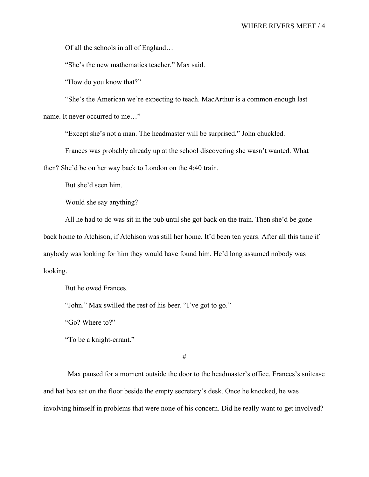Of all the schools in all of England…

"She's the new mathematics teacher," Max said.

"How do you know that?"

"She's the American we're expecting to teach. MacArthur is a common enough last name. It never occurred to me…"

"Except she's not a man. The headmaster will be surprised." John chuckled.

Frances was probably already up at the school discovering she wasn't wanted. What then? She'd be on her way back to London on the 4:40 train.

But she'd seen him.

Would she say anything?

All he had to do was sit in the pub until she got back on the train. Then she'd be gone back home to Atchison, if Atchison was still her home. It'd been ten years. After all this time if anybody was looking for him they would have found him. He'd long assumed nobody was looking.

But he owed Frances.

"John." Max swilled the rest of his beer. "I've got to go."

"Go? Where to?"

"To be a knight-errant."

#

Max paused for a moment outside the door to the headmaster's office. Frances's suitcase and hat box sat on the floor beside the empty secretary's desk. Once he knocked, he was involving himself in problems that were none of his concern. Did he really want to get involved?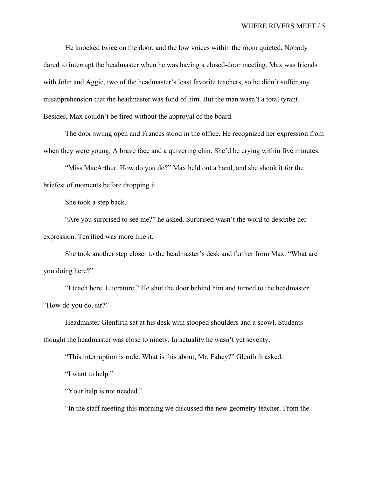He knocked twice on the door, and the low voices within the room quieted. Nobody dared to interrupt the headmaster when he was having a closed-door meeting. Max was friends with John and Aggie, two of the headmaster's least favorite teachers, so he didn't suffer any misapprehension that the headmaster was fond of him. But the man wasn't a total tyrant. Besides, Max couldn't be fired without the approval of the board.

The door swung open and Frances stood in the office. He recognized her expression from when they were young. A brave face and a quivering chin. She'd be crying within five minutes.

"Miss MacArthur. How do you do?" Max held out a hand, and she shook it for the briefest of moments before dropping it.

She took a step back.

"Are you surprised to see me?" he asked. Surprised wasn't the word to describe her expression. Terrified was more like it.

She took another step closer to the headmaster's desk and further from Max. "What are you doing here?"

"I teach here. Literature." He shut the door behind him and turned to the headmaster. "How do you do, sir?"

Headmaster Glenfirth sat at his desk with stooped shoulders and a scowl. Students thought the headmaster was close to ninety. In actuality he wasn't yet seventy.

"This interruption is rude. What is this about, Mr. Fahey?" Glenfirth asked.

"I want to help."

"Your help is not needed."

"In the staff meeting this morning we discussed the new geometry teacher. From the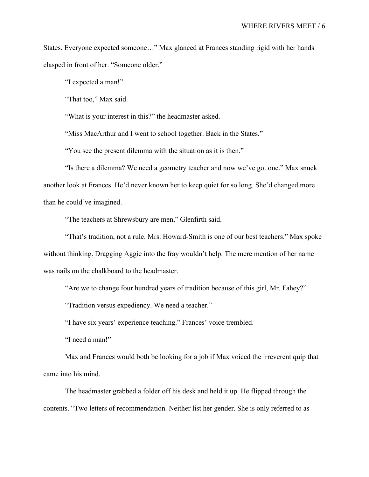States. Everyone expected someone…" Max glanced at Frances standing rigid with her hands clasped in front of her. "Someone older."

"I expected a man!"

"That too," Max said.

"What is your interest in this?" the headmaster asked.

"Miss MacArthur and I went to school together. Back in the States."

"You see the present dilemma with the situation as it is then."

"Is there a dilemma? We need a geometry teacher and now we've got one." Max snuck another look at Frances. He'd never known her to keep quiet for so long. She'd changed more than he could've imagined.

"The teachers at Shrewsbury are men," Glenfirth said.

"That's tradition, not a rule. Mrs. Howard-Smith is one of our best teachers." Max spoke without thinking. Dragging Aggie into the fray wouldn't help. The mere mention of her name was nails on the chalkboard to the headmaster.

"Are we to change four hundred years of tradition because of this girl, Mr. Fahey?"

"Tradition versus expediency. We need a teacher."

"I have six years' experience teaching." Frances' voice trembled.

"I need a man!"

Max and Frances would both be looking for a job if Max voiced the irreverent quip that came into his mind.

The headmaster grabbed a folder off his desk and held it up. He flipped through the contents. "Two letters of recommendation. Neither list her gender. She is only referred to as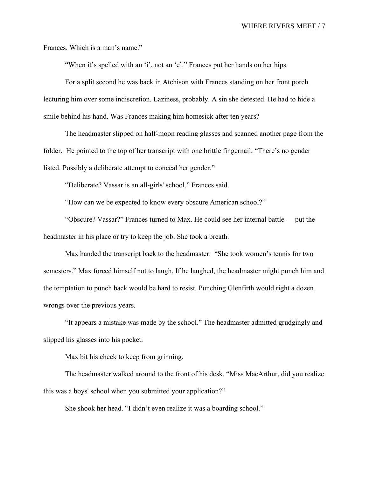Frances. Which is a man's name."

"When it's spelled with an 'i', not an 'e'." Frances put her hands on her hips.

For a split second he was back in Atchison with Frances standing on her front porch lecturing him over some indiscretion. Laziness, probably. A sin she detested. He had to hide a smile behind his hand. Was Frances making him homesick after ten years?

The headmaster slipped on half-moon reading glasses and scanned another page from the folder. He pointed to the top of her transcript with one brittle fingernail. "There's no gender listed. Possibly a deliberate attempt to conceal her gender."

"Deliberate? Vassar is an all-girls' school," Frances said.

"How can we be expected to know every obscure American school?"

"Obscure? Vassar?" Frances turned to Max. He could see her internal battle — put the headmaster in his place or try to keep the job. She took a breath.

Max handed the transcript back to the headmaster. "She took women's tennis for two semesters." Max forced himself not to laugh. If he laughed, the headmaster might punch him and the temptation to punch back would be hard to resist. Punching Glenfirth would right a dozen wrongs over the previous years.

"It appears a mistake was made by the school." The headmaster admitted grudgingly and slipped his glasses into his pocket.

Max bit his cheek to keep from grinning.

The headmaster walked around to the front of his desk. "Miss MacArthur, did you realize this was a boys' school when you submitted your application?"

She shook her head. "I didn't even realize it was a boarding school."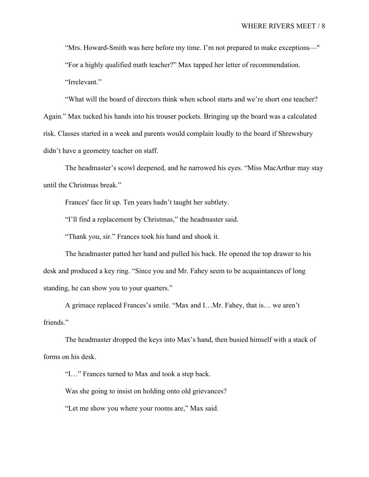"Mrs. Howard-Smith was here before my time. I'm not prepared to make exceptions—" "For a highly qualified math teacher?" Max tapped her letter of recommendation. "Irrelevant."

"What will the board of directors think when school starts and we're short one teacher? Again." Max tucked his hands into his trouser pockets. Bringing up the board was a calculated risk. Classes started in a week and parents would complain loudly to the board if Shrewsbury didn't have a geometry teacher on staff.

The headmaster's scowl deepened, and he narrowed his eyes. "Miss MacArthur may stay until the Christmas break."

Frances' face lit up. Ten years hadn't taught her subtlety.

"I'll find a replacement by Christmas," the headmaster said.

"Thank you, sir." Frances took his hand and shook it.

The headmaster patted her hand and pulled his back. He opened the top drawer to his desk and produced a key ring. "Since you and Mr. Fahey seem to be acquaintances of long standing, he can show you to your quarters."

A grimace replaced Frances's smile. "Max and I…Mr. Fahey, that is… we aren't friends."

The headmaster dropped the keys into Max's hand, then busied himself with a stack of forms on his desk.

"I…" Frances turned to Max and took a step back.

Was she going to insist on holding onto old grievances?

"Let me show you where your rooms are," Max said.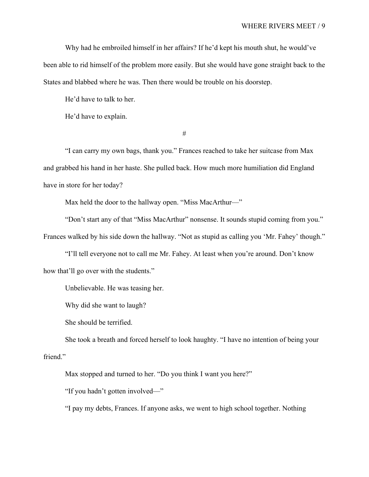Why had he embroiled himself in her affairs? If he'd kept his mouth shut, he would've been able to rid himself of the problem more easily. But she would have gone straight back to the States and blabbed where he was. Then there would be trouble on his doorstep.

He'd have to talk to her.

He'd have to explain.

#

"I can carry my own bags, thank you." Frances reached to take her suitcase from Max and grabbed his hand in her haste. She pulled back. How much more humiliation did England have in store for her today?

Max held the door to the hallway open. "Miss MacArthur—"

"Don't start any of that "Miss MacArthur" nonsense. It sounds stupid coming from you." Frances walked by his side down the hallway. "Not as stupid as calling you 'Mr. Fahey' though."

"I'll tell everyone not to call me Mr. Fahey. At least when you're around. Don't know how that'll go over with the students."

Unbelievable. He was teasing her.

Why did she want to laugh?

She should be terrified.

She took a breath and forced herself to look haughty. "I have no intention of being your friend."

Max stopped and turned to her. "Do you think I want you here?"

"If you hadn't gotten involved—"

"I pay my debts, Frances. If anyone asks, we went to high school together. Nothing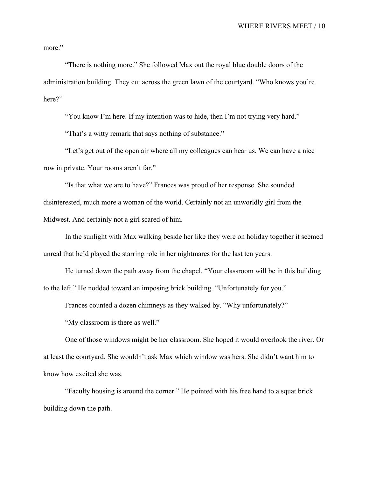more."

"There is nothing more." She followed Max out the royal blue double doors of the administration building. They cut across the green lawn of the courtyard. "Who knows you're here?"

"You know I'm here. If my intention was to hide, then I'm not trying very hard."

"That's a witty remark that says nothing of substance."

"Let's get out of the open air where all my colleagues can hear us. We can have a nice row in private. Your rooms aren't far."

"Is that what we are to have?" Frances was proud of her response. She sounded disinterested, much more a woman of the world. Certainly not an unworldly girl from the Midwest. And certainly not a girl scared of him.

In the sunlight with Max walking beside her like they were on holiday together it seemed unreal that he'd played the starring role in her nightmares for the last ten years.

He turned down the path away from the chapel. "Your classroom will be in this building to the left." He nodded toward an imposing brick building. "Unfortunately for you."

Frances counted a dozen chimneys as they walked by. "Why unfortunately?"

"My classroom is there as well."

One of those windows might be her classroom. She hoped it would overlook the river. Or at least the courtyard. She wouldn't ask Max which window was hers. She didn't want him to know how excited she was.

"Faculty housing is around the corner." He pointed with his free hand to a squat brick building down the path.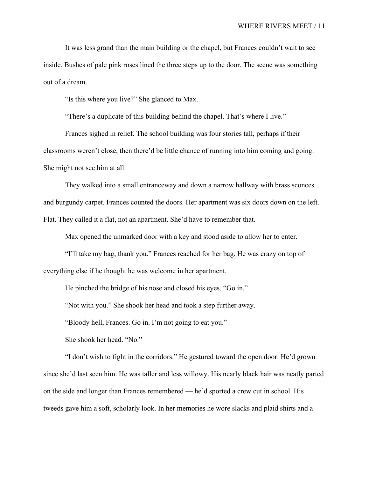It was less grand than the main building or the chapel, but Frances couldn't wait to see inside. Bushes of pale pink roses lined the three steps up to the door. The scene was something out of a dream.

"Is this where you live?" She glanced to Max.

"There's a duplicate of this building behind the chapel. That's where I live."

Frances sighed in relief. The school building was four stories tall, perhaps if their classrooms weren't close, then there'd be little chance of running into him coming and going. She might not see him at all.

They walked into a small entranceway and down a narrow hallway with brass sconces and burgundy carpet. Frances counted the doors. Her apartment was six doors down on the left. Flat. They called it a flat, not an apartment. She'd have to remember that.

Max opened the unmarked door with a key and stood aside to allow her to enter.

"I'll take my bag, thank you." Frances reached for her bag. He was crazy on top of everything else if he thought he was welcome in her apartment.

He pinched the bridge of his nose and closed his eyes. "Go in."

"Not with you." She shook her head and took a step further away.

"Bloody hell, Frances. Go in. I'm not going to eat you."

She shook her head. "No."

"I don't wish to fight in the corridors." He gestured toward the open door. He'd grown since she'd last seen him. He was taller and less willowy. His nearly black hair was neatly parted on the side and longer than Frances remembered — he'd sported a crew cut in school. His tweeds gave him a soft, scholarly look. In her memories he wore slacks and plaid shirts and a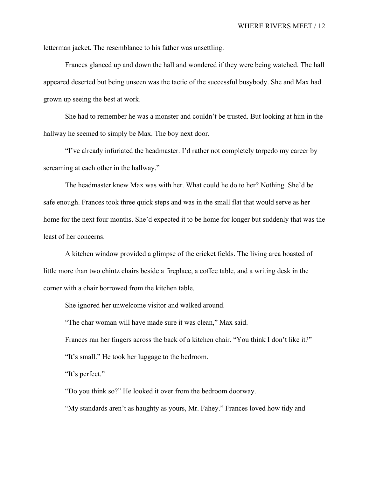letterman jacket. The resemblance to his father was unsettling.

Frances glanced up and down the hall and wondered if they were being watched. The hall appeared deserted but being unseen was the tactic of the successful busybody. She and Max had grown up seeing the best at work.

She had to remember he was a monster and couldn't be trusted. But looking at him in the hallway he seemed to simply be Max. The boy next door.

"I've already infuriated the headmaster. I'd rather not completely torpedo my career by screaming at each other in the hallway."

The headmaster knew Max was with her. What could he do to her? Nothing. She'd be safe enough. Frances took three quick steps and was in the small flat that would serve as her home for the next four months. She'd expected it to be home for longer but suddenly that was the least of her concerns.

A kitchen window provided a glimpse of the cricket fields. The living area boasted of little more than two chintz chairs beside a fireplace, a coffee table, and a writing desk in the corner with a chair borrowed from the kitchen table.

She ignored her unwelcome visitor and walked around.

"The char woman will have made sure it was clean," Max said.

Frances ran her fingers across the back of a kitchen chair. "You think I don't like it?" "It's small." He took her luggage to the bedroom.

"It's perfect."

"Do you think so?" He looked it over from the bedroom doorway.

"My standards aren't as haughty as yours, Mr. Fahey." Frances loved how tidy and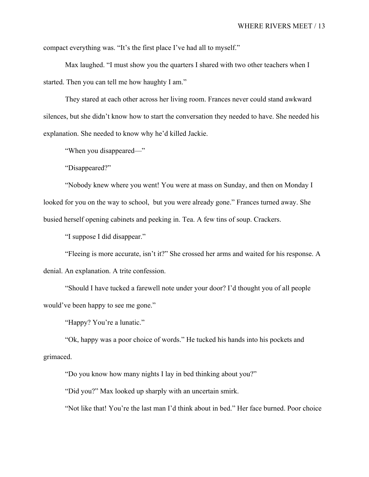compact everything was. "It's the first place I've had all to myself."

Max laughed. "I must show you the quarters I shared with two other teachers when I started. Then you can tell me how haughty I am."

They stared at each other across her living room. Frances never could stand awkward silences, but she didn't know how to start the conversation they needed to have. She needed his explanation. She needed to know why he'd killed Jackie.

"When you disappeared—"

"Disappeared?"

"Nobody knew where you went! You were at mass on Sunday, and then on Monday I looked for you on the way to school, but you were already gone." Frances turned away. She busied herself opening cabinets and peeking in. Tea. A few tins of soup. Crackers.

"I suppose I did disappear."

"Fleeing is more accurate, isn't it?" She crossed her arms and waited for his response. A denial. An explanation. A trite confession.

"Should I have tucked a farewell note under your door? I'd thought you of all people would've been happy to see me gone."

"Happy? You're a lunatic."

"Ok, happy was a poor choice of words." He tucked his hands into his pockets and grimaced.

"Do you know how many nights I lay in bed thinking about you?"

"Did you?" Max looked up sharply with an uncertain smirk.

"Not like that! You're the last man I'd think about in bed." Her face burned. Poor choice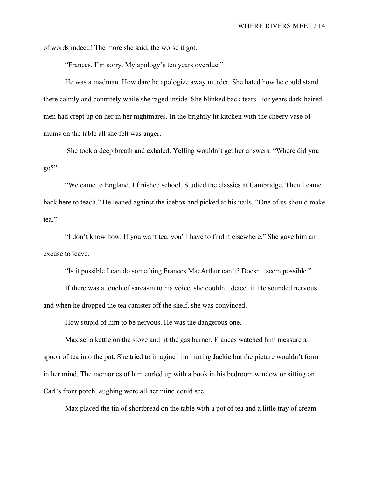of words indeed! The more she said, the worse it got.

"Frances. I'm sorry. My apology's ten years overdue."

He was a madman. How dare he apologize away murder. She hated how he could stand there calmly and contritely while she raged inside. She blinked back tears. For years dark-haired men had crept up on her in her nightmares. In the brightly lit kitchen with the cheery vase of mums on the table all she felt was anger.

 She took a deep breath and exhaled. Yelling wouldn't get her answers. "Where did you go?"

"We came to England. I finished school. Studied the classics at Cambridge. Then I came back here to teach." He leaned against the icebox and picked at his nails. "One of us should make tea."

"I don't know how. If you want tea, you'll have to find it elsewhere." She gave him an excuse to leave.

"Is it possible I can do something Frances MacArthur can't? Doesn't seem possible."

If there was a touch of sarcasm to his voice, she couldn't detect it. He sounded nervous and when he dropped the tea canister off the shelf, she was convinced.

How stupid of him to be nervous. He was the dangerous one.

Max set a kettle on the stove and lit the gas burner. Frances watched him measure a spoon of tea into the pot. She tried to imagine him hurting Jackie but the picture wouldn't form in her mind. The memories of him curled up with a book in his bedroom window or sitting on Carl's front porch laughing were all her mind could see.

Max placed the tin of shortbread on the table with a pot of tea and a little tray of cream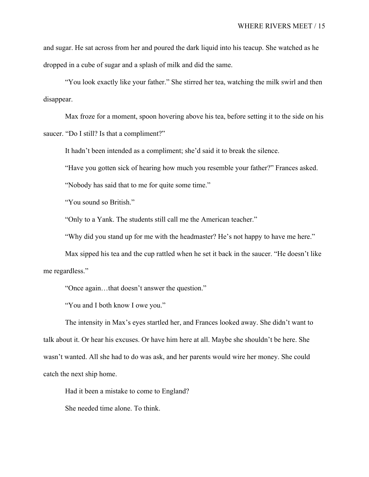and sugar. He sat across from her and poured the dark liquid into his teacup. She watched as he dropped in a cube of sugar and a splash of milk and did the same.

"You look exactly like your father." She stirred her tea, watching the milk swirl and then disappear.

Max froze for a moment, spoon hovering above his tea, before setting it to the side on his saucer. "Do I still? Is that a compliment?"

It hadn't been intended as a compliment; she'd said it to break the silence.

"Have you gotten sick of hearing how much you resemble your father?" Frances asked.

"Nobody has said that to me for quite some time."

"You sound so British."

"Only to a Yank. The students still call me the American teacher."

"Why did you stand up for me with the headmaster? He's not happy to have me here."

Max sipped his tea and the cup rattled when he set it back in the saucer. "He doesn't like me regardless."

"Once again…that doesn't answer the question."

"You and I both know I owe you."

The intensity in Max's eyes startled her, and Frances looked away. She didn't want to talk about it. Or hear his excuses. Or have him here at all. Maybe she shouldn't be here. She wasn't wanted. All she had to do was ask, and her parents would wire her money. She could catch the next ship home.

Had it been a mistake to come to England?

She needed time alone. To think.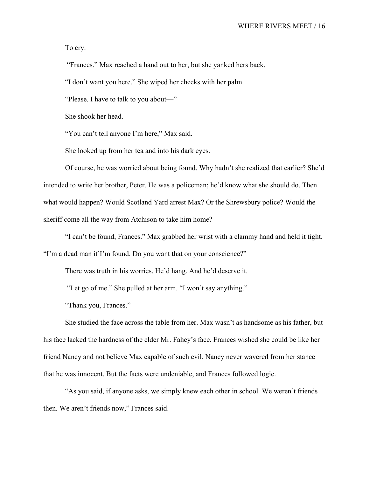To cry.

"Frances." Max reached a hand out to her, but she yanked hers back.

"I don't want you here." She wiped her cheeks with her palm.

"Please. I have to talk to you about—"

She shook her head.

"You can't tell anyone I'm here," Max said.

She looked up from her tea and into his dark eyes.

Of course, he was worried about being found. Why hadn't she realized that earlier? She'd intended to write her brother, Peter. He was a policeman; he'd know what she should do. Then what would happen? Would Scotland Yard arrest Max? Or the Shrewsbury police? Would the sheriff come all the way from Atchison to take him home?

"I can't be found, Frances." Max grabbed her wrist with a clammy hand and held it tight. "I'm a dead man if I'm found. Do you want that on your conscience?"

There was truth in his worries. He'd hang. And he'd deserve it.

"Let go of me." She pulled at her arm. "I won't say anything."

"Thank you, Frances."

She studied the face across the table from her. Max wasn't as handsome as his father, but his face lacked the hardness of the elder Mr. Fahey's face. Frances wished she could be like her friend Nancy and not believe Max capable of such evil. Nancy never wavered from her stance that he was innocent. But the facts were undeniable, and Frances followed logic.

"As you said, if anyone asks, we simply knew each other in school. We weren't friends then. We aren't friends now," Frances said.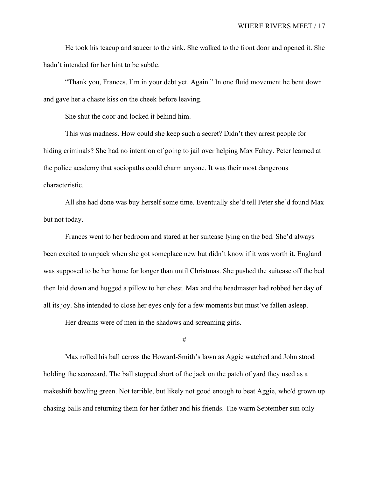He took his teacup and saucer to the sink. She walked to the front door and opened it. She hadn't intended for her hint to be subtle.

"Thank you, Frances. I'm in your debt yet. Again." In one fluid movement he bent down and gave her a chaste kiss on the cheek before leaving.

She shut the door and locked it behind him.

This was madness. How could she keep such a secret? Didn't they arrest people for hiding criminals? She had no intention of going to jail over helping Max Fahey. Peter learned at the police academy that sociopaths could charm anyone. It was their most dangerous characteristic.

All she had done was buy herself some time. Eventually she'd tell Peter she'd found Max but not today.

Frances went to her bedroom and stared at her suitcase lying on the bed. She'd always been excited to unpack when she got someplace new but didn't know if it was worth it. England was supposed to be her home for longer than until Christmas. She pushed the suitcase off the bed then laid down and hugged a pillow to her chest. Max and the headmaster had robbed her day of all its joy. She intended to close her eyes only for a few moments but must've fallen asleep.

Her dreams were of men in the shadows and screaming girls.

#

Max rolled his ball across the Howard-Smith's lawn as Aggie watched and John stood holding the scorecard. The ball stopped short of the jack on the patch of yard they used as a makeshift bowling green. Not terrible, but likely not good enough to beat Aggie, who'd grown up chasing balls and returning them for her father and his friends. The warm September sun only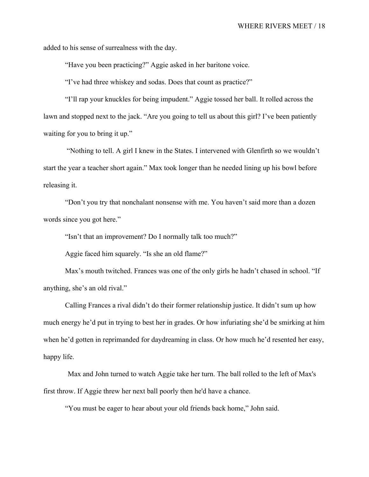added to his sense of surrealness with the day.

"Have you been practicing?" Aggie asked in her baritone voice.

"I've had three whiskey and sodas. Does that count as practice?"

"I'll rap your knuckles for being impudent." Aggie tossed her ball. It rolled across the lawn and stopped next to the jack. "Are you going to tell us about this girl? I've been patiently waiting for you to bring it up."

 "Nothing to tell. A girl I knew in the States. I intervened with Glenfirth so we wouldn't start the year a teacher short again." Max took longer than he needed lining up his bowl before releasing it.

"Don't you try that nonchalant nonsense with me. You haven't said more than a dozen words since you got here."

"Isn't that an improvement? Do I normally talk too much?"

Aggie faced him squarely. "Is she an old flame?"

Max's mouth twitched. Frances was one of the only girls he hadn't chased in school. "If anything, she's an old rival."

Calling Frances a rival didn't do their former relationship justice. It didn't sum up how much energy he'd put in trying to best her in grades. Or how infuriating she'd be smirking at him when he'd gotten in reprimanded for daydreaming in class. Or how much he'd resented her easy, happy life.

Max and John turned to watch Aggie take her turn. The ball rolled to the left of Max's first throw. If Aggie threw her next ball poorly then he'd have a chance.

"You must be eager to hear about your old friends back home," John said.